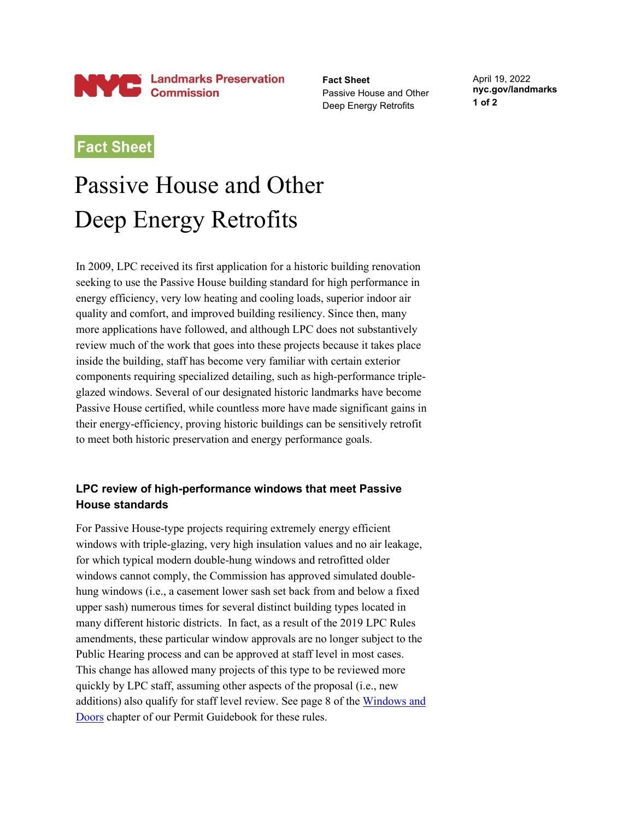

**Fact Sheet** Passive House and Other Deep Energy Retrofits

April 19, 2022 **nyc.gov/landmarks 1 of 2**

## **Fact Sheet**

## Passive House and Other Deep Energy Retrofits

In 2009, LPC received its first application for a historic building renovation seeking to use the Passive House building standard for high performance in energy efficiency, very low heating and cooling loads, superior indoor air quality and comfort, and improved building resiliency. Since then, many more applications have followed, and although LPC does not substantively review much of the work that goes into these projects because it takes place inside the building, staff has become very familiar with certain exterior components requiring specialized detailing, such as high-performance tripleglazed windows. Several of our designated historic landmarks have become Passive House certified, while countless more have made significant gains in their energy-efficiency, proving historic buildings can be sensitively retrofit to meet both historic preservation and energy performance goals.

## **LPC review of high-performance windows that meet Passive House standards**

For Passive House-type projects requiring extremely energy efficient windows with triple-glazing, very high insulation values and no air leakage, for which typical modern double-hung windows and retrofitted older windows cannot comply, the Commission has approved simulated doublehung windows (i.e., a casement lower sash set back from and below a fixed upper sash) numerous times for several distinct building types located in many different historic districts. In fact, as a result of the 2019 LPC Rules amendments, these particular window approvals are no longer subject to the Public Hearing process and can be approved at staff level in most cases. This change has allowed many projects of this type to be reviewed more quickly by LPC staff, assuming other aspects of the proposal (i.e., new additions) also qualify for staff level review. See page 8 of the [Windows and](https://www1.nyc.gov/assets/lpc/downloads/pdf/LPCPermitGuidebook_Chapter2_Windows.pdf)  [Doors](https://www1.nyc.gov/assets/lpc/downloads/pdf/LPCPermitGuidebook_Chapter2_Windows.pdf) chapter of our Permit Guidebook for these rules.